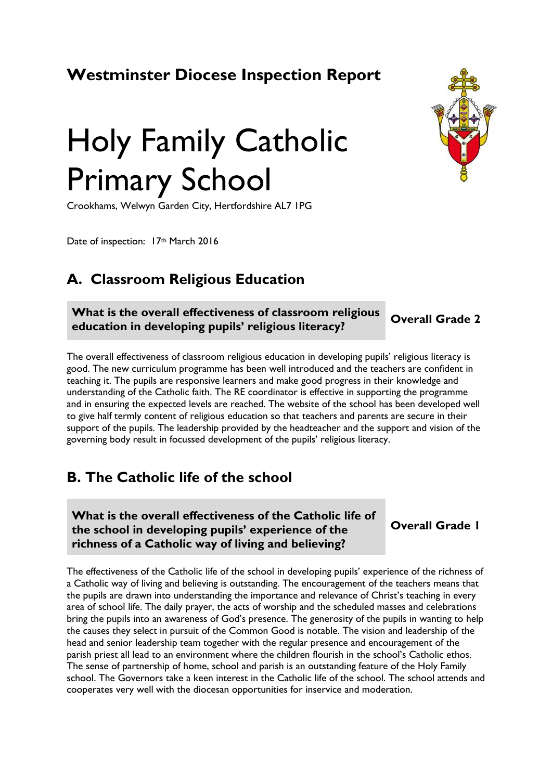# **Westminster Diocese Inspection Report**



# Holy Family Catholic Primary School

Crookhams, Welwyn Garden City, Hertfordshire AL7 1PG

Date of inspection: 17th March 2016

## **A. Classroom Religious Education**

**What is the overall effectiveness of classroom religious education in developing pupils' religious literacy? Overall Grade <sup>2</sup>**

The overall effectiveness of classroom religious education in developing pupils' religious literacy is good. The new curriculum programme has been well introduced and the teachers are confident in teaching it. The pupils are responsive learners and make good progress in their knowledge and understanding of the Catholic faith. The RE coordinator is effective in supporting the programme and in ensuring the expected levels are reached. The website of the school has been developed well to give half termly content of religious education so that teachers and parents are secure in their support of the pupils. The leadership provided by the headteacher and the support and vision of the governing body result in focussed development of the pupils' religious literacy.

## **B. The Catholic life of the school**

**What is the overall effectiveness of the Catholic life of the school in developing pupils' experience of the richness of a Catholic way of living and believing?**

**Overall Grade 1**

The effectiveness of the Catholic life of the school in developing pupils' experience of the richness of a Catholic way of living and believing is outstanding. The encouragement of the teachers means that the pupils are drawn into understanding the importance and relevance of Christ's teaching in every area of school life. The daily prayer, the acts of worship and the scheduled masses and celebrations bring the pupils into an awareness of God's presence. The generosity of the pupils in wanting to help the causes they select in pursuit of the Common Good is notable. The vision and leadership of the head and senior leadership team together with the regular presence and encouragement of the parish priest all lead to an environment where the children flourish in the school's Catholic ethos. The sense of partnership of home, school and parish is an outstanding feature of the Holy Family school. The Governors take a keen interest in the Catholic life of the school. The school attends and cooperates very well with the diocesan opportunities for inservice and moderation.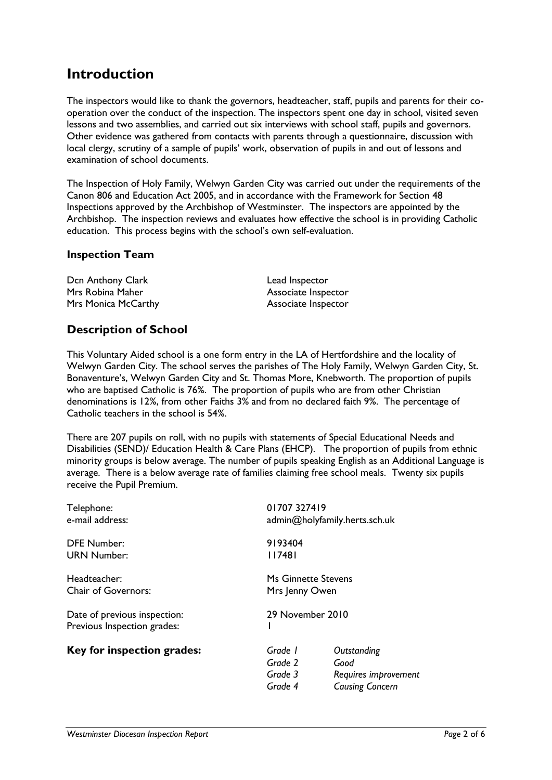## **Introduction**

The inspectors would like to thank the governors, headteacher, staff, pupils and parents for their cooperation over the conduct of the inspection. The inspectors spent one day in school, visited seven lessons and two assemblies, and carried out six interviews with school staff, pupils and governors. Other evidence was gathered from contacts with parents through a questionnaire, discussion with local clergy, scrutiny of a sample of pupils' work, observation of pupils in and out of lessons and examination of school documents.

The Inspection of Holy Family, Welwyn Garden City was carried out under the requirements of the Canon 806 and Education Act 2005, and in accordance with the Framework for Section 48 Inspections approved by the Archbishop of Westminster. The inspectors are appointed by the Archbishop. The inspection reviews and evaluates how effective the school is in providing Catholic education. This process begins with the school's own self-evaluation.

#### **Inspection Team**

| Dcn Anthony Clark   | Lead Inspector      |
|---------------------|---------------------|
| Mrs Robina Maher    | Associate Inspector |
| Mrs Monica McCarthy | Associate Inspector |

### **Description of School**

This Voluntary Aided school is a one form entry in the LA of Hertfordshire and the locality of Welwyn Garden City. The school serves the parishes of The Holy Family, Welwyn Garden City, St. Bonaventure's, Welwyn Garden City and St. Thomas More, Knebworth. The proportion of pupils who are baptised Catholic is 76%. The proportion of pupils who are from other Christian denominations is 12%, from other Faiths 3% and from no declared faith 9%. The percentage of Catholic teachers in the school is 54%.

There are 207 pupils on roll, with no pupils with statements of Special Educational Needs and Disabilities (SEND)/ Education Health & Care Plans (EHCP). The proportion of pupils from ethnic minority groups is below average. The number of pupils speaking English as an Additional Language is average. There is a below average rate of families claiming free school meals. Twenty six pupils receive the Pupil Premium.

| Telephone:<br>e-mail address:                               |                                          | 01707 327419<br>admin@holyfamily.herts.sch.uk                         |  |
|-------------------------------------------------------------|------------------------------------------|-----------------------------------------------------------------------|--|
| DFE Number:<br><b>URN Number:</b>                           | 9193404<br>    748                       |                                                                       |  |
| Headteacher:<br>Chair of Governors:                         |                                          | Ms Ginnette Stevens<br>Mrs Jenny Owen<br>29 November 2010             |  |
| Date of previous inspection:<br>Previous Inspection grades: |                                          |                                                                       |  |
| Key for inspection grades:                                  | Grade 1<br>Grade 2<br>Grade 3<br>Grade 4 | Outstanding<br>Good<br>Requires improvement<br><b>Causing Concern</b> |  |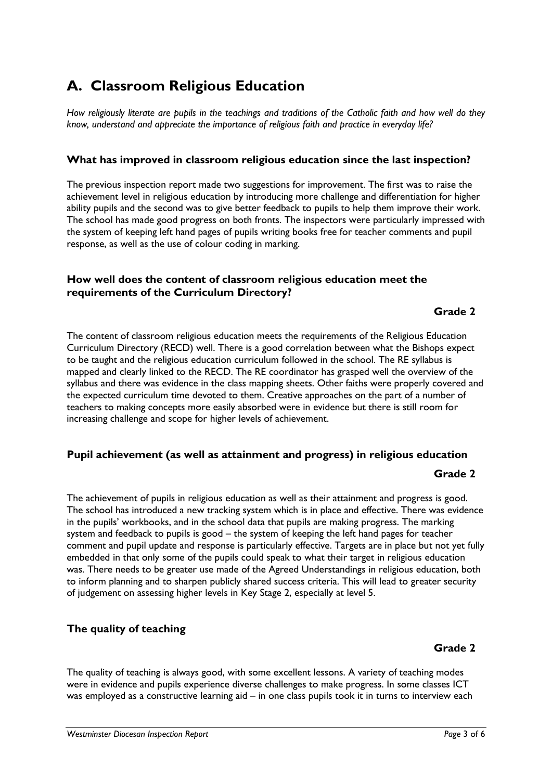# **A. Classroom Religious Education**

*How religiously literate are pupils in the teachings and traditions of the Catholic faith and how well do they know, understand and appreciate the importance of religious faith and practice in everyday life?*

#### **What has improved in classroom religious education since the last inspection?**

The previous inspection report made two suggestions for improvement. The first was to raise the achievement level in religious education by introducing more challenge and differentiation for higher ability pupils and the second was to give better feedback to pupils to help them improve their work. The school has made good progress on both fronts. The inspectors were particularly impressed with the system of keeping left hand pages of pupils writing books free for teacher comments and pupil response, as well as the use of colour coding in marking.

#### **How well does the content of classroom religious education meet the requirements of the Curriculum Directory?**

#### **Grade 2**

The content of classroom religious education meets the requirements of the Religious Education Curriculum Directory (RECD) well. There is a good correlation between what the Bishops expect to be taught and the religious education curriculum followed in the school. The RE syllabus is mapped and clearly linked to the RECD. The RE coordinator has grasped well the overview of the syllabus and there was evidence in the class mapping sheets. Other faiths were properly covered and the expected curriculum time devoted to them. Creative approaches on the part of a number of teachers to making concepts more easily absorbed were in evidence but there is still room for increasing challenge and scope for higher levels of achievement.

#### **Pupil achievement (as well as attainment and progress) in religious education**

#### **Grade 2**

The achievement of pupils in religious education as well as their attainment and progress is good. The school has introduced a new tracking system which is in place and effective. There was evidence in the pupils' workbooks, and in the school data that pupils are making progress. The marking system and feedback to pupils is good – the system of keeping the left hand pages for teacher comment and pupil update and response is particularly effective. Targets are in place but not yet fully embedded in that only some of the pupils could speak to what their target in religious education was. There needs to be greater use made of the Agreed Understandings in religious education, both to inform planning and to sharpen publicly shared success criteria. This will lead to greater security of judgement on assessing higher levels in Key Stage 2, especially at level 5.

#### **The quality of teaching**

#### **Grade 2**

The quality of teaching is always good, with some excellent lessons. A variety of teaching modes were in evidence and pupils experience diverse challenges to make progress. In some classes ICT was employed as a constructive learning aid – in one class pupils took it in turns to interview each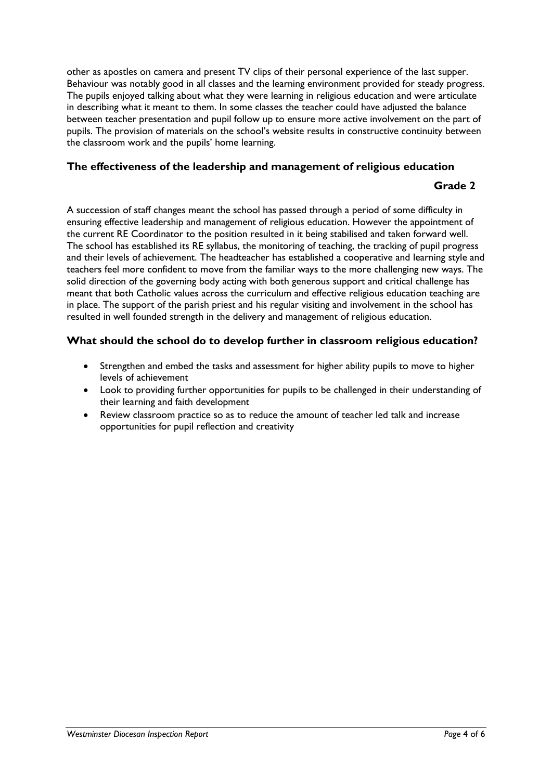other as apostles on camera and present TV clips of their personal experience of the last supper. Behaviour was notably good in all classes and the learning environment provided for steady progress. The pupils enjoyed talking about what they were learning in religious education and were articulate in describing what it meant to them. In some classes the teacher could have adjusted the balance between teacher presentation and pupil follow up to ensure more active involvement on the part of pupils. The provision of materials on the school's website results in constructive continuity between the classroom work and the pupils' home learning.

#### **The effectiveness of the leadership and management of religious education**

#### **Grade 2**

A succession of staff changes meant the school has passed through a period of some difficulty in ensuring effective leadership and management of religious education. However the appointment of the current RE Coordinator to the position resulted in it being stabilised and taken forward well. The school has established its RE syllabus, the monitoring of teaching, the tracking of pupil progress and their levels of achievement. The headteacher has established a cooperative and learning style and teachers feel more confident to move from the familiar ways to the more challenging new ways. The solid direction of the governing body acting with both generous support and critical challenge has meant that both Catholic values across the curriculum and effective religious education teaching are in place. The support of the parish priest and his regular visiting and involvement in the school has resulted in well founded strength in the delivery and management of religious education.

#### **What should the school do to develop further in classroom religious education?**

- Strengthen and embed the tasks and assessment for higher ability pupils to move to higher levels of achievement
- Look to providing further opportunities for pupils to be challenged in their understanding of their learning and faith development
- Review classroom practice so as to reduce the amount of teacher led talk and increase opportunities for pupil reflection and creativity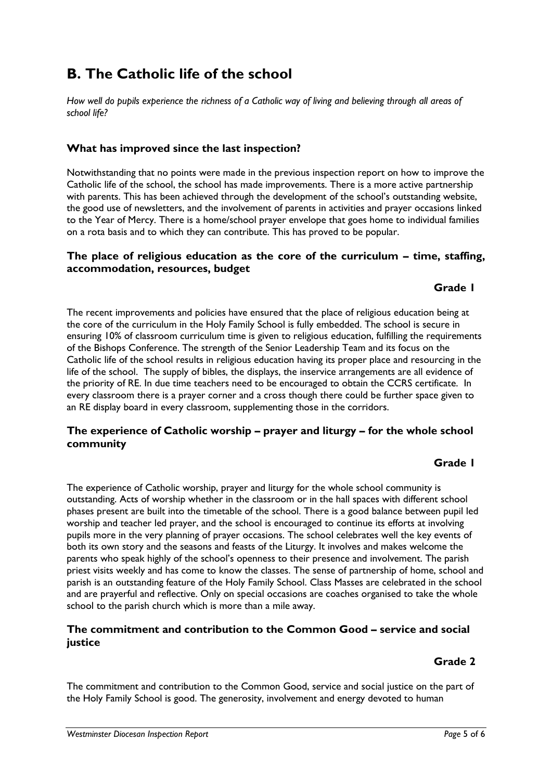## **B. The Catholic life of the school**

*How well do pupils experience the richness of a Catholic way of living and believing through all areas of school life?*

#### **What has improved since the last inspection?**

Notwithstanding that no points were made in the previous inspection report on how to improve the Catholic life of the school, the school has made improvements. There is a more active partnership with parents. This has been achieved through the development of the school's outstanding website, the good use of newsletters, and the involvement of parents in activities and prayer occasions linked to the Year of Mercy. There is a home/school prayer envelope that goes home to individual families on a rota basis and to which they can contribute. This has proved to be popular.

#### **The place of religious education as the core of the curriculum – time, staffing, accommodation, resources, budget**

#### **Grade 1**

The recent improvements and policies have ensured that the place of religious education being at the core of the curriculum in the Holy Family School is fully embedded. The school is secure in ensuring 10% of classroom curriculum time is given to religious education, fulfilling the requirements of the Bishops Conference. The strength of the Senior Leadership Team and its focus on the Catholic life of the school results in religious education having its proper place and resourcing in the life of the school. The supply of bibles, the displays, the inservice arrangements are all evidence of the priority of RE. In due time teachers need to be encouraged to obtain the CCRS certificate. In every classroom there is a prayer corner and a cross though there could be further space given to an RE display board in every classroom, supplementing those in the corridors.

#### **The experience of Catholic worship – prayer and liturgy – for the whole school community**

#### **Grade 1**

The experience of Catholic worship, prayer and liturgy for the whole school community is outstanding. Acts of worship whether in the classroom or in the hall spaces with different school phases present are built into the timetable of the school. There is a good balance between pupil led worship and teacher led prayer, and the school is encouraged to continue its efforts at involving pupils more in the very planning of prayer occasions. The school celebrates well the key events of both its own story and the seasons and feasts of the Liturgy. It involves and makes welcome the parents who speak highly of the school's openness to their presence and involvement. The parish priest visits weekly and has come to know the classes. The sense of partnership of home, school and parish is an outstanding feature of the Holy Family School. Class Masses are celebrated in the school and are prayerful and reflective. Only on special occasions are coaches organised to take the whole school to the parish church which is more than a mile away.

#### **The commitment and contribution to the Common Good – service and social justice**

## **Grade 2**

The commitment and contribution to the Common Good, service and social justice on the part of the Holy Family School is good. The generosity, involvement and energy devoted to human